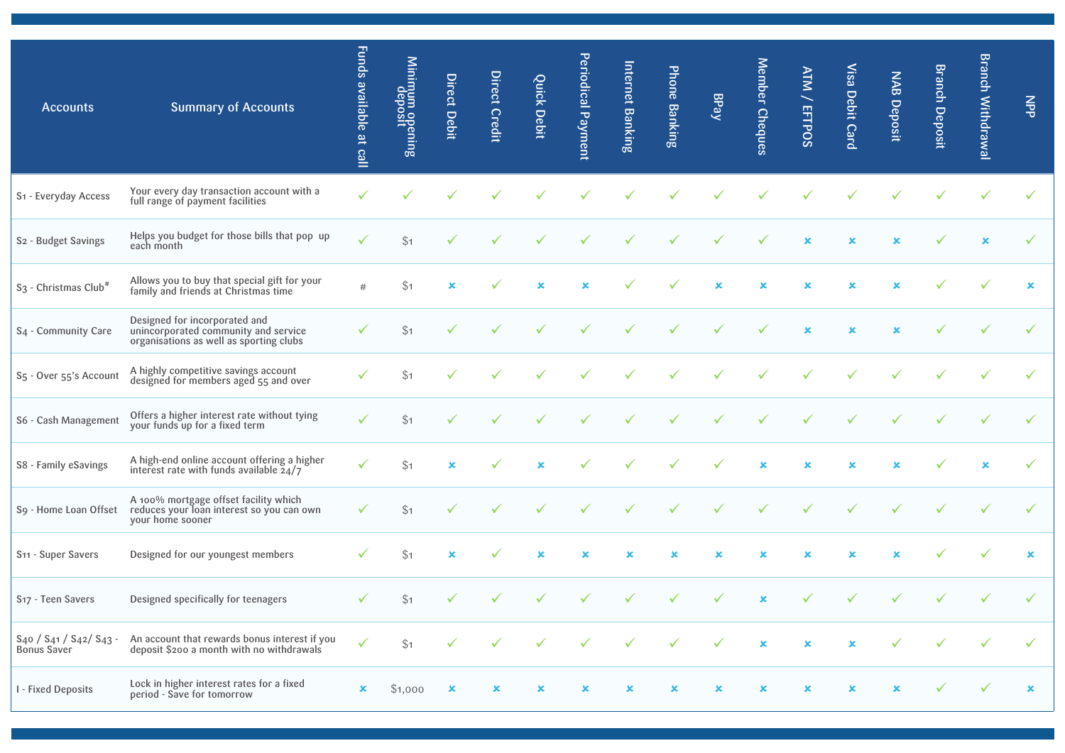| <b>Accounts</b>                              | <b>Summary of Accounts</b>                                                                                       | Funds available at call | Minimum opening<br>deposit | Direct Debit              | <b>Direct Credit</b> | <b>Quick Debit</b> | Periodical Payment | Internet Banking | Phone Banking | BPay         | Member Cheques | <b>ATM / EFTPOS</b> | Visa Debit Card         | <b>NAB Deposit</b> | <b>Branch Deposit</b> | <b>Branch Withdrawal</b> | $rac{2}{5}$ |
|----------------------------------------------|------------------------------------------------------------------------------------------------------------------|-------------------------|----------------------------|---------------------------|----------------------|--------------------|--------------------|------------------|---------------|--------------|----------------|---------------------|-------------------------|--------------------|-----------------------|--------------------------|-------------|
| S1 - Everyday Access                         | Your every day transaction account with a<br>full range of payment facilities                                    |                         |                            |                           |                      |                    |                    |                  |               |              |                |                     |                         |                    |                       |                          |             |
| S2 - Budget Savings                          | Helps you budget for those bills that pop up<br>each month                                                       |                         | \$1                        |                           |                      |                    |                    |                  |               |              |                | $\mathbf x$         | $\overline{\mathbf{x}}$ | ×                  |                       |                          |             |
| S <sub>3</sub> - Christmas Club <sup>#</sup> | Allows you to buy that special gift for your<br>family and friends at Christmas time                             | #                       | \$1                        |                           |                      |                    |                    |                  |               |              |                | x                   |                         |                    |                       |                          | $\mathbf x$ |
| S <sub>4</sub> - Community Care              | Designed for incorporated and<br>unincorporated community and service<br>organisations as well as sporting clubs |                         | \$1                        |                           |                      |                    |                    |                  |               |              |                | $\mathbf x$         | $\mathbf x$             | ×                  |                       |                          |             |
| S <sub>5</sub> - Over 55's Account           | A highly competitive savings account<br>designed for members aged 55 and over                                    |                         | \$1                        |                           |                      |                    |                    |                  |               |              |                |                     |                         |                    |                       |                          |             |
| S6 - Cash Management                         | Offers a higher interest rate without tying<br>your funds up for a fixed term                                    |                         | \$1                        |                           |                      |                    |                    |                  |               |              |                |                     |                         |                    |                       |                          |             |
| S8 - Family eSavings                         | A high-end online account offering a higher interest rate with funds available $24/7$                            |                         | \$1                        | ×                         |                      |                    |                    |                  |               |              |                |                     |                         | ×                  |                       |                          |             |
| S9 - Home Loan Offset                        | A 100% mortgage offset facility which<br>reduces your loan interest so you can own<br>your home sooner           |                         | \$1                        |                           |                      |                    |                    |                  |               |              |                |                     |                         |                    |                       |                          |             |
| S <sub>11</sub> - Super Savers               | Designed for our youngest members                                                                                |                         | \$1                        | ×                         |                      |                    |                    |                  |               |              |                |                     |                         |                    |                       |                          | $\mathbf x$ |
| S <sub>17</sub> - Teen Savers                | Designed specifically for teenagers                                                                              |                         | \$1                        | $\checkmark$              | $\checkmark$         | $\checkmark$       | $\checkmark$       | $\checkmark$     | $\checkmark$  | $\checkmark$ | $\pmb{\times}$ |                     | $\checkmark$            | $\checkmark$       | $\sqrt{2}$            | $\checkmark$             |             |
| S40 / S41 / S42/ S43 -<br><b>Bonus Saver</b> | An account that rewards bonus interest if you<br>deposit \$200 a month with no withdrawals                       | $\checkmark$            | \$1                        |                           | $\checkmark$         |                    |                    | $\checkmark$     | $\checkmark$  | $\checkmark$ | $\pmb{\times}$ | $\mathbf x$         | $\pmb{\times}$          |                    |                       |                          |             |
| I - Fixed Deposits                           | Lock in higher interest rates for a fixed<br>period - Save for tomorrow                                          | $\mathbf x$             | \$1,000                    | $\boldsymbol{\mathsf{x}}$ | $\mathbf x$          | ×                  | $\mathbf x$        | $\pmb{\times}$   | $\mathbf x$   | $\mathbf x$  | $\pmb{\times}$ | $\mathbf x$         | $\pmb{\times}$          | $\mathbf x$        | $\checkmark$          | $\checkmark$             | $\mathbf x$ |